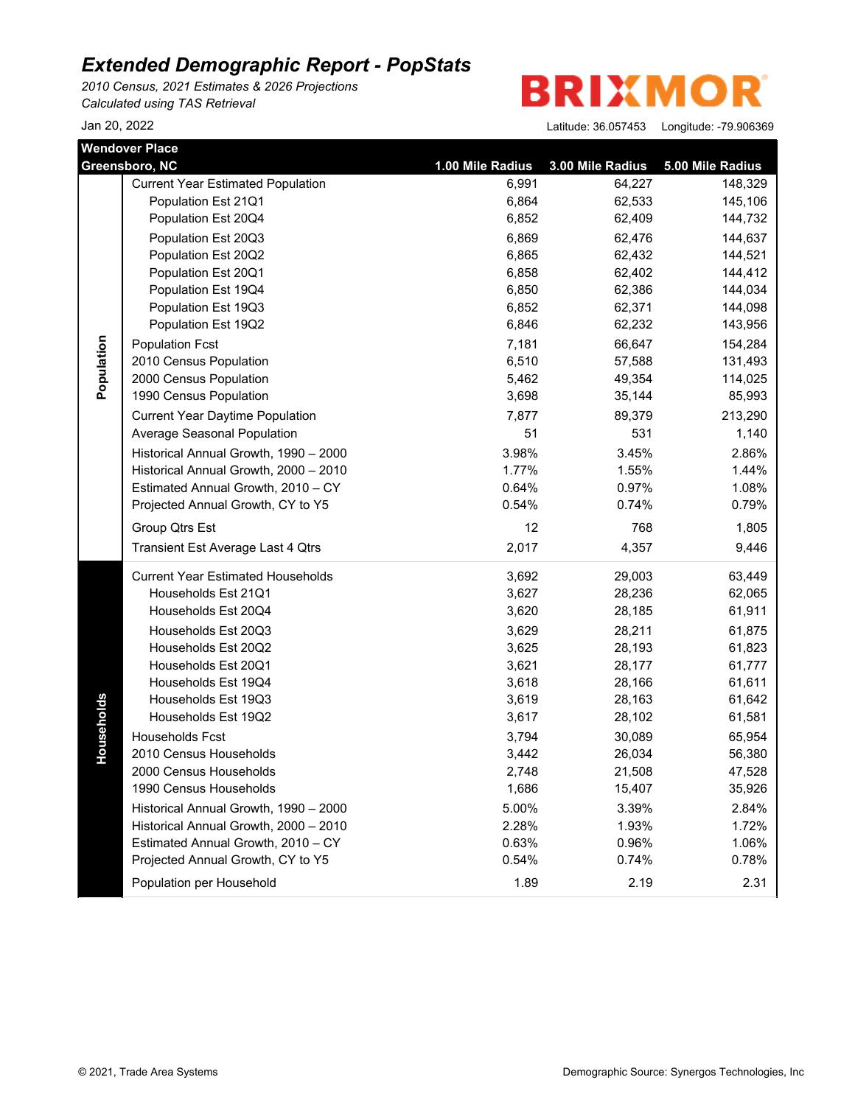*2010 Census, 2021 Estimates & 2026 Projections Calculated using TAS Retrieval*

**BRIXMOR** 

|            | <b>Wendover Place</b>                    |                  |                  |                  |
|------------|------------------------------------------|------------------|------------------|------------------|
|            | Greensboro, NC                           | 1.00 Mile Radius | 3.00 Mile Radius | 5.00 Mile Radius |
|            | <b>Current Year Estimated Population</b> | 6,991            | 64,227           | 148,329          |
|            | Population Est 21Q1                      | 6,864            | 62,533           | 145,106          |
|            | Population Est 20Q4                      | 6,852            | 62,409           | 144,732          |
|            | Population Est 20Q3                      | 6,869            | 62,476           | 144,637          |
|            | Population Est 20Q2                      | 6,865            | 62,432           | 144,521          |
|            | Population Est 20Q1                      | 6,858            | 62,402           | 144,412          |
|            | Population Est 19Q4                      | 6,850            | 62,386           | 144,034          |
|            | Population Est 19Q3                      | 6,852            | 62,371           | 144,098          |
|            | Population Est 19Q2                      | 6,846            | 62,232           | 143,956          |
|            | <b>Population Fcst</b>                   | 7,181            | 66,647           | 154,284          |
|            | 2010 Census Population                   | 6,510            | 57,588           | 131,493          |
| Population | 2000 Census Population                   | 5,462            | 49,354           | 114,025          |
|            | 1990 Census Population                   | 3,698            | 35,144           | 85,993           |
|            | <b>Current Year Daytime Population</b>   | 7,877            | 89,379           | 213,290          |
|            | Average Seasonal Population              | 51               | 531              | 1,140            |
|            | Historical Annual Growth, 1990 - 2000    | 3.98%            | 3.45%            | 2.86%            |
|            | Historical Annual Growth, 2000 - 2010    | 1.77%            | 1.55%            | 1.44%            |
|            | Estimated Annual Growth, 2010 - CY       | 0.64%            | 0.97%            | 1.08%            |
|            | Projected Annual Growth, CY to Y5        | 0.54%            | 0.74%            | 0.79%            |
|            | Group Qtrs Est                           | 12               | 768              | 1,805            |
|            | Transient Est Average Last 4 Qtrs        | 2,017            | 4,357            | 9,446            |
|            | <b>Current Year Estimated Households</b> | 3,692            | 29,003           | 63,449           |
|            | Households Est 21Q1                      | 3,627            | 28,236           | 62,065           |
|            | Households Est 20Q4                      | 3,620            | 28,185           | 61,911           |
|            | Households Est 20Q3                      | 3,629            | 28,211           | 61,875           |
|            | Households Est 20Q2                      | 3,625            | 28,193           | 61,823           |
|            | Households Est 20Q1                      | 3,621            | 28,177           | 61,777           |
|            | Households Est 19Q4                      | 3,618            | 28,166           | 61,611           |
|            | Households Est 19Q3                      | 3,619            | 28,163           | 61,642           |
| Households | Households Est 19Q2                      | 3,617            | 28,102           | 61,581           |
|            | Households Fcst                          | 3,794            | 30,089           | 65,954           |
|            | 2010 Census Households                   | 3,442            | 26,034           | 56,380           |
|            | 2000 Census Households                   | 2,748            | 21,508           | 47,528           |
|            | 1990 Census Households                   | 1,686            | 15,407           | 35,926           |
|            | Historical Annual Growth, 1990 - 2000    | 5.00%            | 3.39%            | 2.84%            |
|            | Historical Annual Growth, 2000 - 2010    | 2.28%            | 1.93%            | 1.72%            |
|            | Estimated Annual Growth, 2010 - CY       | 0.63%            | 0.96%            | 1.06%            |
|            | Projected Annual Growth, CY to Y5        | 0.54%            | 0.74%            | 0.78%            |
|            | Population per Household                 | 1.89             | 2.19             | 2.31             |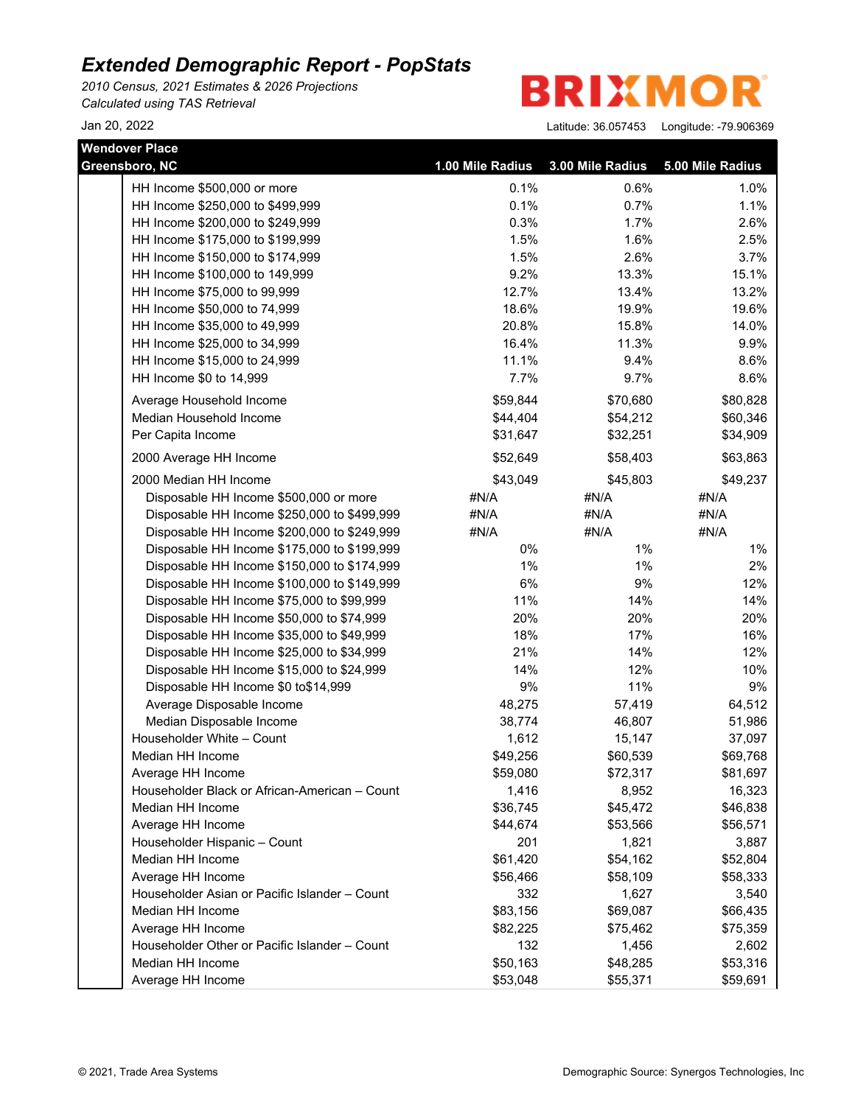*2010 Census, 2021 Estimates & 2026 Projections Calculated using TAS Retrieval*

**BRIXMOR** 

| <b>Wendover Place</b>                         |                  |                  |                  |
|-----------------------------------------------|------------------|------------------|------------------|
| Greensboro, NC                                | 1.00 Mile Radius | 3.00 Mile Radius | 5.00 Mile Radius |
| HH Income \$500,000 or more                   | 0.1%             | 0.6%             | 1.0%             |
| HH Income \$250,000 to \$499,999              | 0.1%             | 0.7%             | 1.1%             |
| HH Income \$200,000 to \$249,999              | 0.3%             | 1.7%             | 2.6%             |
| HH Income \$175,000 to \$199,999              | 1.5%             | 1.6%             | 2.5%             |
| HH Income \$150,000 to \$174,999              | 1.5%             | 2.6%             | 3.7%             |
| HH Income \$100,000 to 149,999                | 9.2%             | 13.3%            | 15.1%            |
| HH Income \$75,000 to 99,999                  | 12.7%            | 13.4%            | 13.2%            |
| HH Income \$50,000 to 74,999                  | 18.6%            | 19.9%            | 19.6%            |
| HH Income \$35,000 to 49,999                  | 20.8%            | 15.8%            | 14.0%            |
| HH Income \$25,000 to 34,999                  | 16.4%            | 11.3%            | 9.9%             |
| HH Income \$15,000 to 24,999                  | 11.1%            | 9.4%             | 8.6%             |
| HH Income \$0 to 14,999                       | 7.7%             | 9.7%             | 8.6%             |
| Average Household Income                      | \$59,844         | \$70,680         | \$80,828         |
| Median Household Income                       | \$44,404         | \$54,212         | \$60,346         |
| Per Capita Income                             | \$31,647         | \$32,251         | \$34,909         |
| 2000 Average HH Income                        | \$52,649         | \$58,403         | \$63,863         |
| 2000 Median HH Income                         | \$43,049         | \$45,803         | \$49,237         |
| Disposable HH Income \$500,000 or more        | #N/A             | #N/A             | #N/A             |
| Disposable HH Income \$250,000 to \$499,999   | #N/A             | #N/A             | #N/A             |
| Disposable HH Income \$200,000 to \$249,999   | #N/A             | #N/A             | #N/A             |
| Disposable HH Income \$175,000 to \$199,999   | 0%               | $1\%$            | $1\%$            |
| Disposable HH Income \$150,000 to \$174,999   | 1%               | 1%               | 2%               |
| Disposable HH Income \$100,000 to \$149,999   | 6%               | 9%               | 12%              |
| Disposable HH Income \$75,000 to \$99,999     | 11%              | 14%              | 14%              |
| Disposable HH Income \$50,000 to \$74,999     | 20%              | 20%              | 20%              |
| Disposable HH Income \$35,000 to \$49,999     | 18%              | 17%              | 16%              |
| Disposable HH Income \$25,000 to \$34,999     | 21%              | 14%              | 12%              |
| Disposable HH Income \$15,000 to \$24,999     | 14%              | 12%              | 10%              |
| Disposable HH Income \$0 to\$14,999           | 9%               | 11%              | 9%               |
| Average Disposable Income                     | 48,275           | 57,419           | 64,512           |
| Median Disposable Income                      | 38,774           | 46,807           | 51,986           |
| Householder White - Count                     | 1,612            | 15,147           | 37,097           |
| Median HH Income                              | \$49,256         | \$60,539         | \$69,768         |
| Average HH Income                             | \$59,080         | \$72,317         | \$81,697         |
| Householder Black or African-American - Count | 1,416            | 8,952            | 16,323           |
| Median HH Income                              | \$36,745         | \$45,472         | \$46,838         |
| Average HH Income                             | \$44,674         | \$53,566         | \$56,571         |
| Householder Hispanic - Count                  | 201              | 1,821            | 3,887            |
| Median HH Income                              | \$61,420         | \$54,162         | \$52,804         |
| Average HH Income                             | \$56,466         | \$58,109         | \$58,333         |
| Householder Asian or Pacific Islander - Count | 332              | 1,627            | 3,540            |
| Median HH Income                              | \$83,156         | \$69,087         | \$66,435         |
| Average HH Income                             | \$82,225         | \$75,462         | \$75,359         |
| Householder Other or Pacific Islander - Count | 132              | 1,456            | 2,602            |
| Median HH Income                              | \$50,163         | \$48,285         | \$53,316         |
| Average HH Income                             | \$53,048         | \$55,371         | \$59,691         |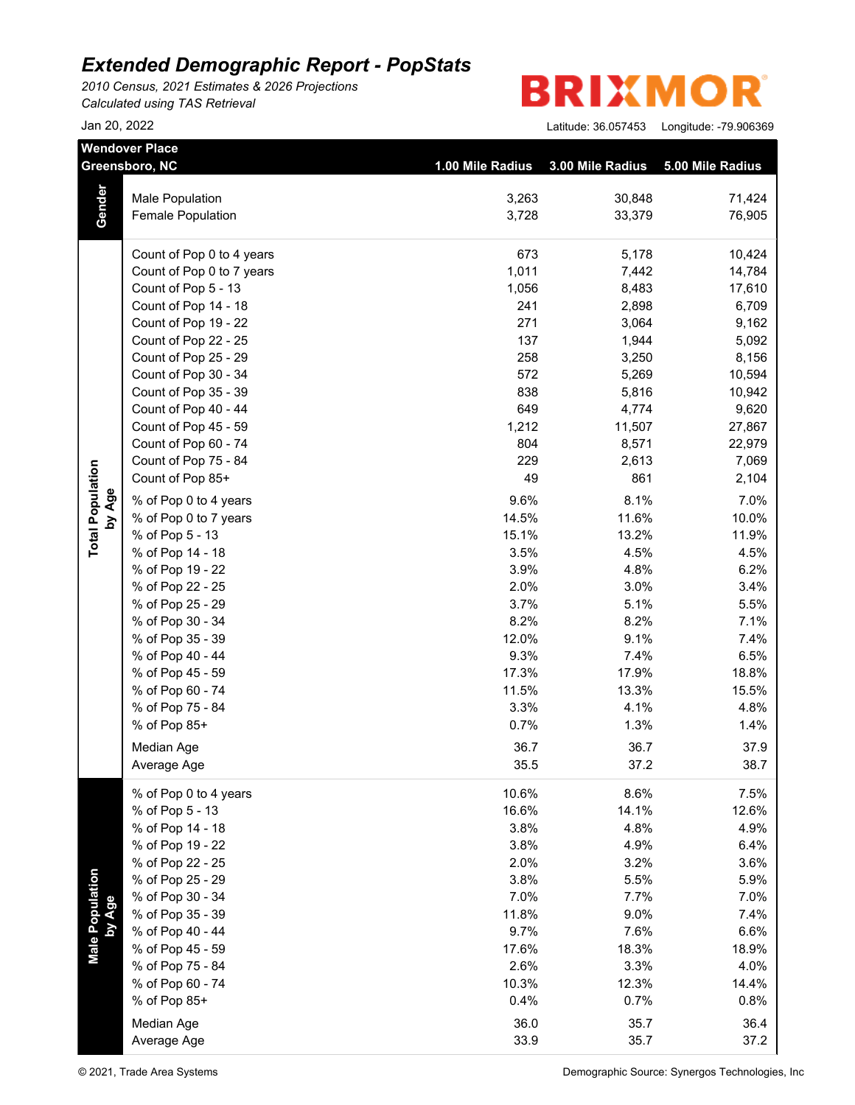*2010 Census, 2021 Estimates & 2026 Projections Calculated using TAS Retrieval*

| <b>BRIXMOR®</b> |
|-----------------|
|-----------------|

|                         | <b>Wendover Place</b><br>Greensboro, NC | 1.00 Mile Radius | 3.00 Mile Radius | 5.00 Mile Radius |
|-------------------------|-----------------------------------------|------------------|------------------|------------------|
|                         |                                         |                  |                  |                  |
|                         | Male Population                         | 3,263            | 30,848           | 71,424           |
| Gender                  | <b>Female Population</b>                | 3,728            | 33,379           | 76,905           |
|                         | Count of Pop 0 to 4 years               | 673              | 5,178            | 10,424           |
|                         | Count of Pop 0 to 7 years               | 1,011            | 7,442            | 14,784           |
|                         | Count of Pop 5 - 13                     | 1,056            | 8,483            | 17,610           |
|                         | Count of Pop 14 - 18                    | 241              | 2,898            | 6,709            |
|                         | Count of Pop 19 - 22                    | 271              | 3,064            | 9,162            |
|                         | Count of Pop 22 - 25                    | 137              | 1,944            | 5,092            |
|                         | Count of Pop 25 - 29                    | 258              | 3,250            | 8,156            |
|                         | Count of Pop 30 - 34                    | 572              | 5,269            | 10,594           |
|                         | Count of Pop 35 - 39                    | 838              | 5,816            | 10,942           |
|                         | Count of Pop 40 - 44                    | 649              | 4,774            | 9,620            |
|                         | Count of Pop 45 - 59                    | 1,212            | 11,507           | 27,867           |
|                         | Count of Pop 60 - 74                    | 804              | 8,571            | 22,979           |
|                         | Count of Pop 75 - 84                    | 229              | 2,613            | 7,069            |
| <b>Total Population</b> | Count of Pop 85+                        | 49               | 861              | 2,104            |
| by Age                  | % of Pop 0 to 4 years                   | 9.6%             | 8.1%             | 7.0%             |
|                         | % of Pop 0 to 7 years                   | 14.5%            | 11.6%            | 10.0%            |
|                         | % of Pop 5 - 13                         | 15.1%            | 13.2%            | 11.9%            |
|                         | % of Pop 14 - 18                        | 3.5%             | 4.5%             | 4.5%             |
|                         | % of Pop 19 - 22                        | 3.9%             | 4.8%             | 6.2%             |
|                         | % of Pop 22 - 25                        | 2.0%             | 3.0%             | 3.4%             |
|                         | % of Pop 25 - 29                        | 3.7%             | 5.1%             | 5.5%             |
|                         | % of Pop 30 - 34                        | 8.2%             | 8.2%             | 7.1%             |
|                         | % of Pop 35 - 39                        | 12.0%            | 9.1%             | 7.4%             |
|                         | % of Pop 40 - 44                        | 9.3%             | 7.4%             | 6.5%             |
|                         | % of Pop 45 - 59                        | 17.3%            | 17.9%            | 18.8%            |
|                         | % of Pop 60 - 74                        | 11.5%            | 13.3%            | 15.5%            |
|                         | % of Pop 75 - 84                        | 3.3%             | 4.1%             | 4.8%             |
|                         | % of Pop 85+                            | 0.7%             | 1.3%             | 1.4%             |
|                         | Median Age                              | 36.7             | 36.7             | 37.9             |
|                         | Average Age                             | 35.5             | 37.2             | 38.7             |
|                         | % of Pop 0 to 4 years                   | 10.6%            | 8.6%             | 7.5%             |
|                         | % of Pop 5 - 13                         | 16.6%            | 14.1%            | 12.6%            |
|                         | % of Pop 14 - 18                        | 3.8%             | 4.8%             | 4.9%             |
|                         | % of Pop 19 - 22                        | 3.8%             | 4.9%             | 6.4%             |
|                         | % of Pop 22 - 25                        | 2.0%             | 3.2%             | 3.6%             |
| <b>Male Population</b>  | % of Pop 25 - 29                        | 3.8%             | 5.5%             | 5.9%             |
|                         | % of Pop 30 - 34                        | 7.0%             | 7.7%             | 7.0%             |
| by Age                  | % of Pop 35 - 39                        | 11.8%            | 9.0%             | 7.4%             |
|                         | % of Pop 40 - 44                        | 9.7%             | 7.6%             | 6.6%             |
|                         | % of Pop 45 - 59                        | 17.6%            | 18.3%            | 18.9%            |
|                         | % of Pop 75 - 84                        | 2.6%             | 3.3%             | 4.0%             |
|                         | % of Pop 60 - 74                        | 10.3%            | 12.3%            | 14.4%            |
|                         | % of Pop 85+                            | 0.4%             | 0.7%             | 0.8%             |
|                         | Median Age                              | 36.0             | 35.7             | 36.4             |
|                         | Average Age                             | 33.9             | 35.7             | 37.2             |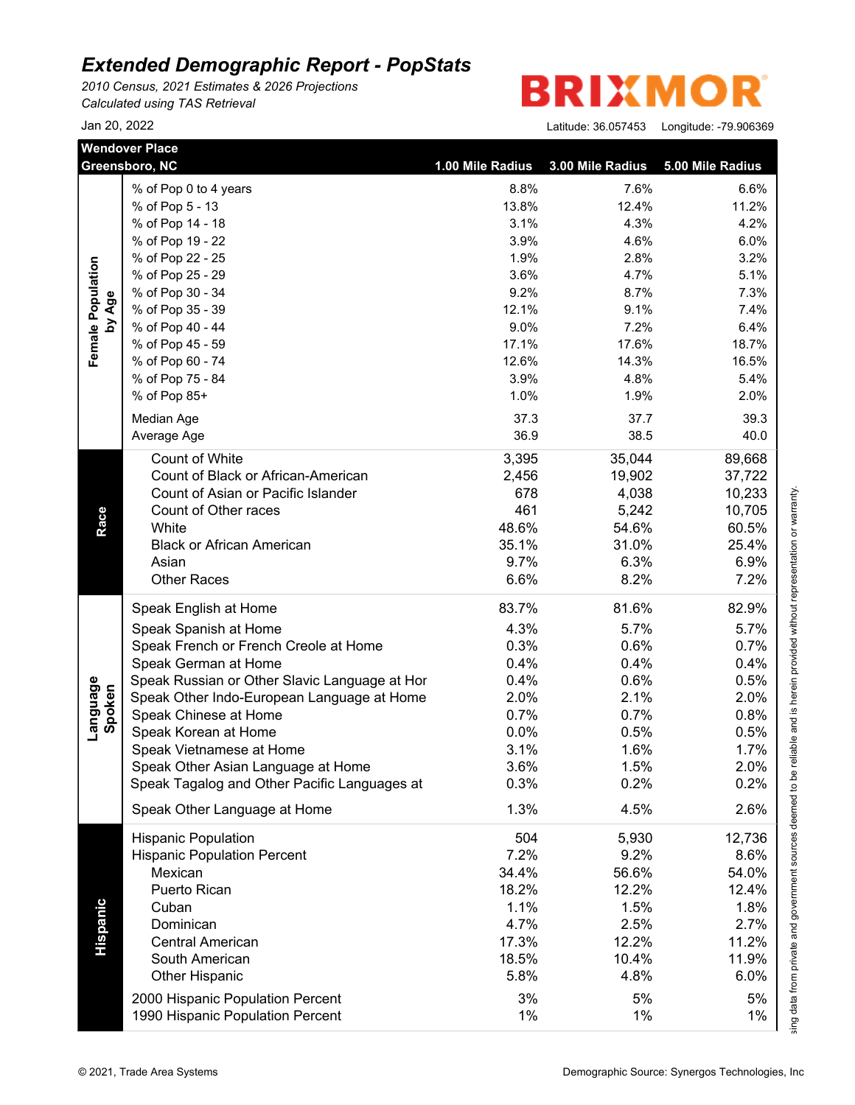*2010 Census, 2021 Estimates & 2026 Projections Calculated using TAS Retrieval*

| <b>Wendover Place</b>       | Greensboro, NC                                | 1.00 Mile Radius | 3.00 Mile Radius | 5.00 Mile Radius |
|-----------------------------|-----------------------------------------------|------------------|------------------|------------------|
|                             | % of Pop 0 to 4 years                         | 8.8%             | 7.6%             | 6.6%             |
|                             | % of Pop 5 - 13                               | 13.8%            | 12.4%            | 11.2%            |
|                             | % of Pop 14 - 18                              | 3.1%             | 4.3%             | 4.2%             |
|                             | % of Pop 19 - 22                              | 3.9%             | 4.6%             | 6.0%             |
|                             | % of Pop 22 - 25                              | 1.9%             | 2.8%             | 3.2%             |
|                             | % of Pop 25 - 29                              | 3.6%             | 4.7%             | 5.1%             |
|                             | % of Pop 30 - 34                              | 9.2%             | 8.7%             | 7.3%             |
| Female Population<br>by Age | % of Pop 35 - 39                              | 12.1%            | 9.1%             | 7.4%             |
|                             | % of Pop 40 - 44                              | 9.0%             | 7.2%             | 6.4%             |
|                             | % of Pop 45 - 59                              | 17.1%            | 17.6%            | 18.7%            |
|                             | % of Pop 60 - 74                              | 12.6%            | 14.3%            | 16.5%            |
|                             | % of Pop 75 - 84                              | 3.9%             | 4.8%             | 5.4%             |
|                             | % of Pop 85+                                  | 1.0%             | 1.9%             | 2.0%             |
|                             | Median Age                                    | 37.3             | 37.7             | 39.3             |
|                             | Average Age                                   | 36.9             | 38.5             | 40.0             |
|                             |                                               |                  |                  |                  |
|                             | Count of White                                | 3,395            | 35,044           | 89,668           |
|                             | Count of Black or African-American            | 2,456            | 19,902           | 37,722           |
|                             | Count of Asian or Pacific Islander            | 678              | 4,038            | 10,233           |
|                             | Count of Other races                          | 461              | 5,242            | 10,705           |
| Race                        | White                                         | 48.6%            | 54.6%            | 60.5%            |
|                             | <b>Black or African American</b>              | 35.1%            | 31.0%            | 25.4%            |
|                             | Asian                                         | 9.7%             | 6.3%             | 6.9%             |
|                             | <b>Other Races</b>                            | 6.6%             | 8.2%             | 7.2%             |
|                             | Speak English at Home                         | 83.7%            | 81.6%            | 82.9%            |
|                             | Speak Spanish at Home                         | 4.3%             | 5.7%             | 5.7%             |
|                             | Speak French or French Creole at Home         | 0.3%             | 0.6%             | 0.7%             |
|                             | Speak German at Home                          | 0.4%             | 0.4%             | 0.4%             |
|                             | Speak Russian or Other Slavic Language at Hor | 0.4%             | 0.6%             | 0.5%             |
|                             | Speak Other Indo-European Language at Home    | 2.0%             | 2.1%             | 2.0%             |
| Language<br>Spoken          | Speak Chinese at Home                         | 0.7%             | 0.7%             | 0.8%             |
|                             | Speak Korean at Home                          | 0.0%             | 0.5%             | 0.5%             |
|                             | Speak Vietnamese at Home                      | 3.1%             | 1.6%             | 1.7%             |
|                             | Speak Other Asian Language at Home            | 3.6%             | 1.5%             | 2.0%             |
|                             | Speak Tagalog and Other Pacific Languages at  | 0.3%             | 0.2%             | 0.2%             |
|                             | Speak Other Language at Home                  | 1.3%             | 4.5%             | 2.6%             |
|                             | <b>Hispanic Population</b>                    | 504              | 5,930            | 12,736           |
|                             | <b>Hispanic Population Percent</b>            | 7.2%             | 9.2%             | 8.6%             |
|                             | Mexican                                       | 34.4%            | 56.6%            | 54.0%            |
|                             | Puerto Rican                                  | 18.2%            | 12.2%            | 12.4%            |
|                             | Cuban                                         | 1.1%             | 1.5%             |                  |
|                             |                                               |                  |                  | 1.8%             |
|                             | Dominican                                     | 4.7%             | 2.5%             | 2.7%             |
| Hispanic                    | <b>Central American</b>                       | 17.3%            | 12.2%            | 11.2%            |
|                             | South American                                | 18.5%            | 10.4%            | 11.9%            |
|                             | <b>Other Hispanic</b>                         | 5.8%             | 4.8%             | 6.0%             |
|                             | 2000 Hispanic Population Percent              | 3%               | 5%               | 5%               |
|                             | 1990 Hispanic Population Percent              | 1%               | 1%               | 1%               |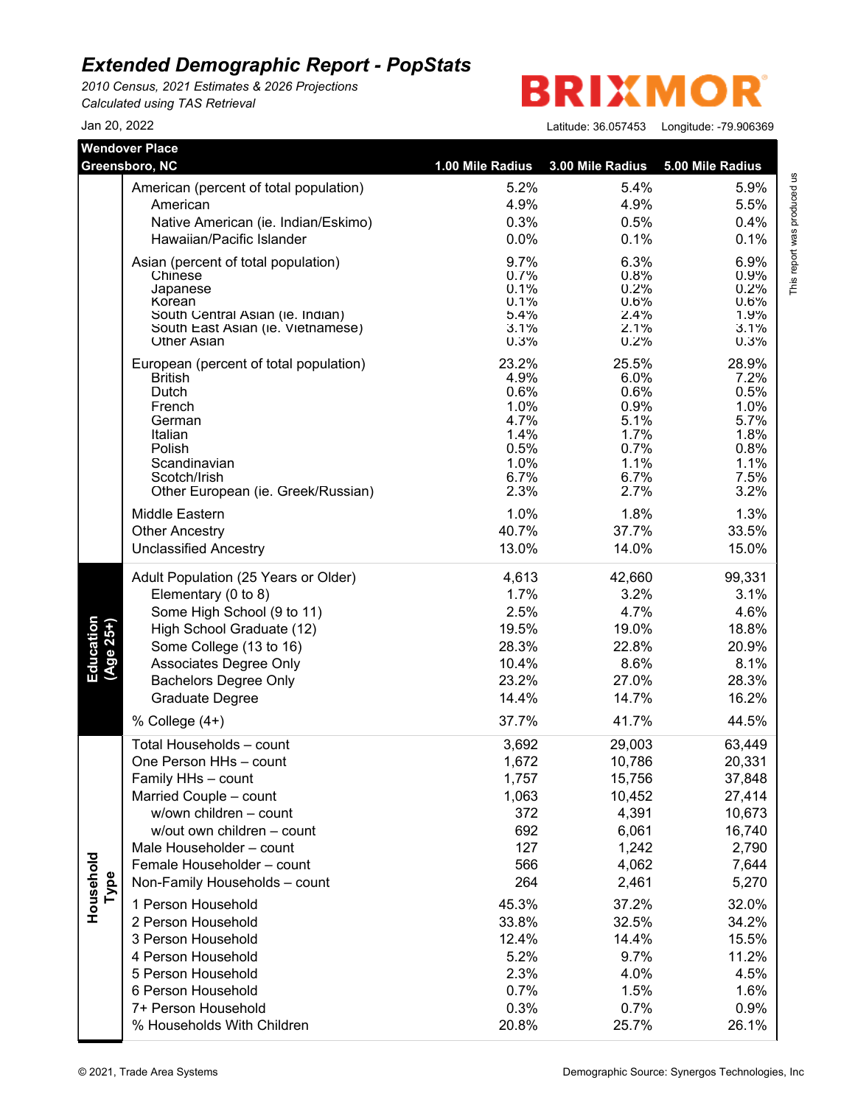*2010 Census, 2021 Estimates & 2026 Projections Calculated using TAS Retrieval*

**BRIXMO** R

|                          | <b>Wendover Place</b>                  |                  |                  |                  |
|--------------------------|----------------------------------------|------------------|------------------|------------------|
|                          | Greensboro, NC                         | 1.00 Mile Radius | 3.00 Mile Radius | 5.00 Mile Radius |
|                          | American (percent of total population) | 5.2%             | 5.4%             | 5.9%             |
|                          | American                               | 4.9%             | 4.9%             | 5.5%             |
|                          | Native American (ie. Indian/Eskimo)    | 0.3%             | 0.5%             | 0.4%             |
|                          | Hawaiian/Pacific Islander              | 0.0%             | 0.1%             | 0.1%             |
|                          | Asian (percent of total population)    | 9.7%             | 6.3%             | 6.9%             |
|                          | Chinese                                | 0.7%             | 0.8%             | 0.9%             |
|                          | Japanese<br>Korean                     | 0.1%<br>0.1%     | 0.2%<br>0.6%     | 0.2%<br>0.6%     |
|                          | South Central Asian (ie. Indian)       | 5.4%             | 2.4%             | 1.9%             |
|                          | South East Asian (ie. Vietnamese)      | 3.1%             | 2.1%             | 3.1%             |
|                          | <b>Other Asian</b>                     | 0.3%             | 0.2%             | 0.3%             |
|                          | European (percent of total population) | 23.2%            | 25.5%            | 28.9%            |
|                          | <b>British</b><br>Dutch                | 4.9%<br>0.6%     | 6.0%<br>0.6%     | 7.2%<br>0.5%     |
|                          | French                                 | 1.0%             | 0.9%             | 1.0%             |
|                          | German                                 | 4.7%             | 5.1%             | 5.7%             |
|                          | Italian                                | 1.4%             | 1.7%             | 1.8%             |
|                          | Polish                                 | 0.5%             | 0.7%             | 0.8%             |
|                          | Scandinavian<br>Scotch/Irish           | 1.0%<br>6.7%     | 1.1%<br>6.7%     | 1.1%<br>7.5%     |
|                          | Other European (ie. Greek/Russian)     | 2.3%             | 2.7%             | 3.2%             |
|                          | <b>Middle Eastern</b>                  | 1.0%             | 1.8%             | 1.3%             |
|                          | <b>Other Ancestry</b>                  | 40.7%            | 37.7%            | 33.5%            |
|                          | <b>Unclassified Ancestry</b>           | 13.0%            | 14.0%            | 15.0%            |
|                          | Adult Population (25 Years or Older)   | 4,613            | 42,660           | 99,331           |
|                          | Elementary (0 to 8)                    | 1.7%             | 3.2%             | 3.1%             |
|                          | Some High School (9 to 11)             | 2.5%             | 4.7%             | 4.6%             |
|                          | High School Graduate (12)              | 19.5%            | 19.0%            | 18.8%            |
|                          | Some College (13 to 16)                | 28.3%            | 22.8%            | 20.9%            |
| Education<br>$(Age 25+)$ | Associates Degree Only                 | 10.4%            | 8.6%             | 8.1%             |
|                          | <b>Bachelors Degree Only</b>           | 23.2%            | 27.0%            | 28.3%            |
|                          | Graduate Degree                        | 14.4%            | 14.7%            | 16.2%            |
|                          | % College (4+)                         | 37.7%            | 41.7%            | 44.5%            |
|                          | Total Households - count               | 3,692            | 29,003           | 63,449           |
|                          | One Person HHs - count                 | 1,672            | 10,786           | 20,331           |
|                          | Family HHs - count                     | 1,757            | 15,756           | 37,848           |
|                          | Married Couple - count                 | 1,063            | 10,452           | 27,414           |
|                          | w/own children - count                 | 372              | 4,391            | 10,673           |
|                          | w/out own children - count             | 692              | 6,061            | 16,740           |
|                          | Male Householder - count               | 127              | 1,242            | 2,790            |
|                          | Female Householder - count             | 566              | 4,062            | 7,644            |
| Type                     | Non-Family Households - count          | 264              | 2,461            | 5,270            |
| Household                | 1 Person Household                     | 45.3%            | 37.2%            | 32.0%            |
|                          | 2 Person Household                     | 33.8%            | 32.5%            | 34.2%            |
|                          | 3 Person Household                     | 12.4%            | 14.4%            | 15.5%            |
|                          | 4 Person Household                     | 5.2%             | 9.7%             | 11.2%            |
|                          | 5 Person Household                     | 2.3%             | 4.0%             | 4.5%             |
|                          | 6 Person Household                     | 0.7%             | 1.5%             | 1.6%             |
|                          | 7+ Person Household                    | 0.3%             | 0.7%             | 0.9%             |
|                          | % Households With Children             | 20.8%            | 25.7%            | 26.1%            |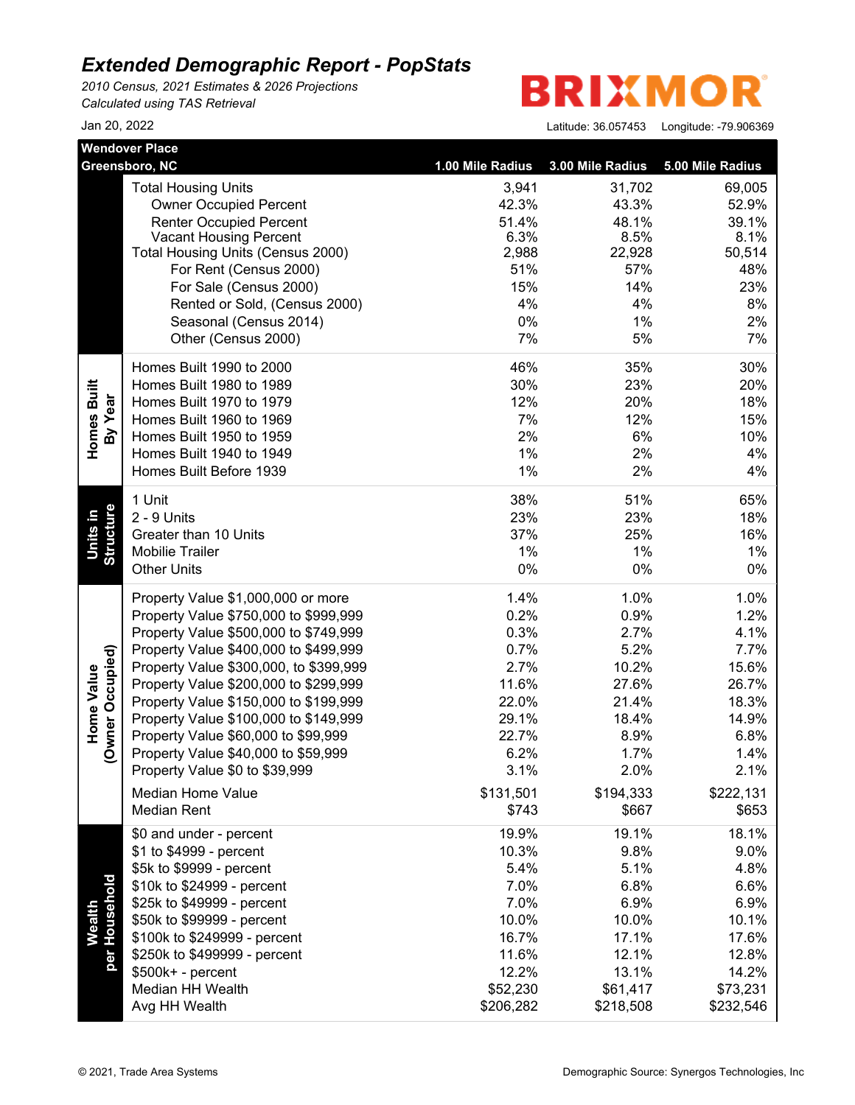*2010 Census, 2021 Estimates & 2026 Projections Calculated using TAS Retrieval*

**BRIXMO** R

|                                | <b>Wendover Place</b>                                              | 1.00 Mile Radius | 3.00 Mile Radius | 5.00 Mile Radius |
|--------------------------------|--------------------------------------------------------------------|------------------|------------------|------------------|
|                                | Greensboro, NC                                                     |                  |                  |                  |
|                                | <b>Total Housing Units</b>                                         | 3,941            | 31,702           | 69,005           |
|                                | <b>Owner Occupied Percent</b>                                      | 42.3%            | 43.3%            | 52.9%            |
|                                | <b>Renter Occupied Percent</b>                                     | 51.4%            | 48.1%            | 39.1%            |
|                                | <b>Vacant Housing Percent</b><br>Total Housing Units (Census 2000) | 6.3%<br>2,988    | 8.5%<br>22,928   | 8.1%<br>50,514   |
|                                | For Rent (Census 2000)                                             | 51%              | 57%              | 48%              |
|                                | For Sale (Census 2000)                                             | 15%              | 14%              | 23%              |
|                                | Rented or Sold, (Census 2000)                                      | 4%               | 4%               | 8%               |
|                                | Seasonal (Census 2014)                                             | 0%               | 1%               | 2%               |
|                                | Other (Census 2000)                                                | 7%               | 5%               | 7%               |
|                                |                                                                    |                  |                  |                  |
|                                | Homes Built 1990 to 2000                                           | 46%              | 35%              | 30%              |
| Homes Built                    | Homes Built 1980 to 1989                                           | 30%              | 23%              | 20%              |
|                                | Homes Built 1970 to 1979                                           | 12%              | 20%              | 18%              |
| By Year                        | Homes Built 1960 to 1969                                           | 7%               | 12%              | 15%              |
|                                | Homes Built 1950 to 1959                                           | 2%               | 6%               | 10%              |
|                                | Homes Built 1940 to 1949                                           | 1%               | 2%               | 4%               |
|                                | Homes Built Before 1939                                            | 1%               | 2%               | 4%               |
|                                | 1 Unit                                                             | 38%              | 51%              | 65%              |
|                                | 2 - 9 Units                                                        | 23%              | 23%              | 18%              |
| Structure<br>Units in          | Greater than 10 Units                                              | 37%              | 25%              | 16%              |
|                                | <b>Mobilie Trailer</b>                                             | 1%               | 1%               | 1%               |
|                                | <b>Other Units</b>                                                 | 0%               | $0\%$            | 0%               |
|                                | Property Value \$1,000,000 or more                                 | 1.4%             | 1.0%             | 1.0%             |
|                                | Property Value \$750,000 to \$999,999                              | 0.2%             | 0.9%             | 1.2%             |
|                                | Property Value \$500,000 to \$749,999                              | 0.3%             | 2.7%             | 4.1%             |
|                                | Property Value \$400,000 to \$499,999                              | 0.7%             | 5.2%             | 7.7%             |
|                                | Property Value \$300,000, to \$399,999                             | 2.7%             | 10.2%            | 15.6%            |
|                                | Property Value \$200,000 to \$299,999                              | 11.6%            | 27.6%            | 26.7%            |
| (Owner Occupied)<br>Home Value | Property Value \$150,000 to \$199,999                              | 22.0%            | 21.4%            | 18.3%            |
|                                | Property Value \$100,000 to \$149,999                              | 29.1%            | 18.4%            | 14.9%            |
|                                | Property Value \$60,000 to \$99,999                                | 22.7%            | 8.9%             | 6.8%             |
|                                | Property Value \$40,000 to \$59,999                                | 6.2%             | 1.7%             | 1.4%             |
|                                | Property Value \$0 to \$39,999                                     | 3.1%             | 2.0%             | 2.1%             |
|                                | Median Home Value                                                  | \$131,501        | \$194,333        | \$222,131        |
|                                | <b>Median Rent</b>                                                 | \$743            | \$667            | \$653            |
|                                | \$0 and under - percent                                            | 19.9%            | 19.1%            | 18.1%            |
|                                | \$1 to \$4999 - percent                                            | 10.3%            | 9.8%             | 9.0%             |
|                                | \$5k to \$9999 - percent                                           | 5.4%             | 5.1%             | 4.8%             |
| per Household                  | \$10k to \$24999 - percent                                         | 7.0%             | 6.8%             | 6.6%             |
|                                | \$25k to \$49999 - percent                                         | 7.0%             | 6.9%             | 6.9%             |
| <b>Wealth</b>                  | \$50k to \$99999 - percent                                         | 10.0%            | 10.0%            | 10.1%            |
|                                | \$100k to \$249999 - percent                                       | 16.7%            | 17.1%            | 17.6%            |
|                                | \$250k to \$499999 - percent                                       | 11.6%            | 12.1%            | 12.8%            |
|                                | \$500k+ - percent                                                  | 12.2%            | 13.1%            | 14.2%            |
|                                | Median HH Wealth                                                   | \$52,230         | \$61,417         | \$73,231         |
|                                | Avg HH Wealth                                                      | \$206,282        | \$218,508        | \$232,546        |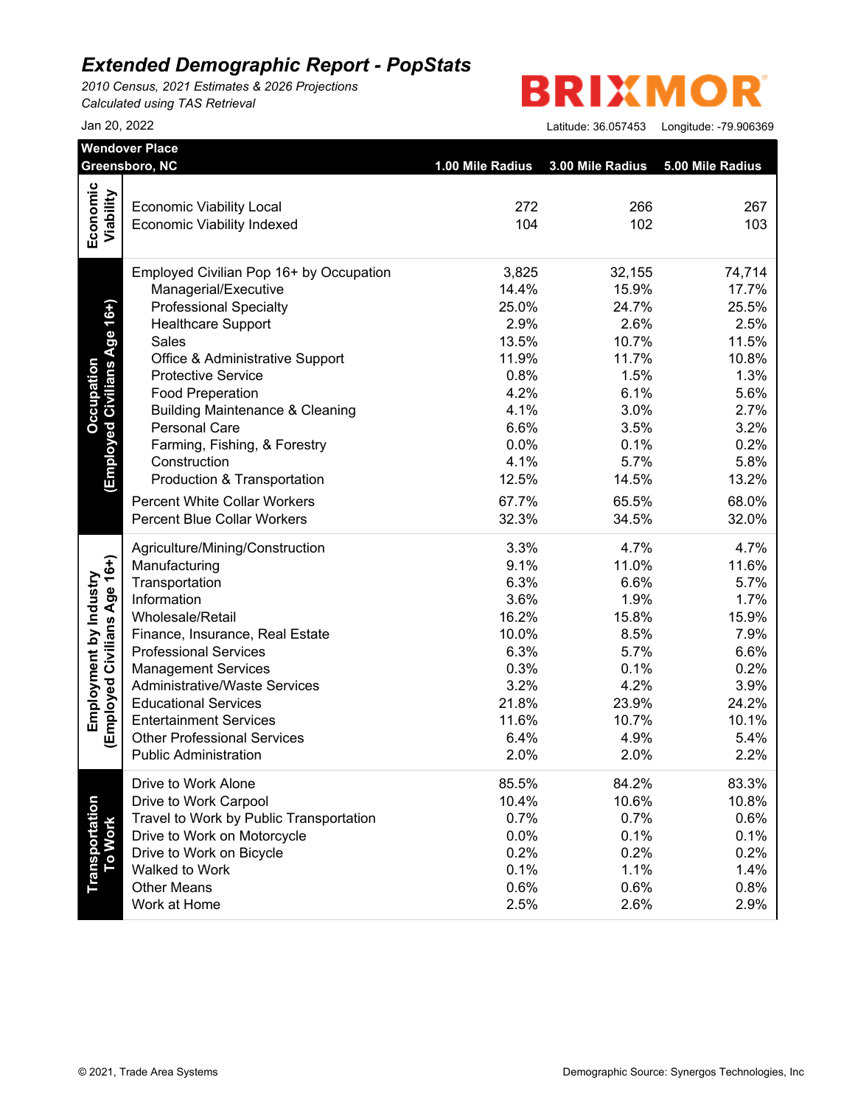*2010 Census, 2021 Estimates & 2026 Projections Calculated using TAS Retrieval*

# **BRIXMOR**

|                                                        | Greensboro, NC                                                       | 1.00 Mile Radius | 3.00 Mile Radius | 5.00 Mile Radius |
|--------------------------------------------------------|----------------------------------------------------------------------|------------------|------------------|------------------|
| Economic                                               |                                                                      |                  |                  |                  |
| Viability                                              | <b>Economic Viability Local</b><br><b>Economic Viability Indexed</b> | 272<br>104       | 266<br>102       | 267<br>103       |
|                                                        |                                                                      |                  |                  |                  |
|                                                        | Employed Civilian Pop 16+ by Occupation                              | 3,825            | 32,155           | 74,714           |
|                                                        | Managerial/Executive                                                 | 14.4%            | 15.9%            | 17.7%            |
| (Employed Civilians Age 16+)                           | <b>Professional Specialty</b>                                        | 25.0%            | 24.7%            | 25.5%            |
|                                                        | <b>Healthcare Support</b>                                            | 2.9%             | 2.6%             | 2.5%             |
|                                                        | Sales                                                                | 13.5%            | 10.7%            | 11.5%            |
|                                                        | Office & Administrative Support                                      | 11.9%            | 11.7%            | 10.8%            |
|                                                        | <b>Protective Service</b>                                            | 0.8%             | 1.5%             | 1.3%             |
|                                                        | <b>Food Preperation</b>                                              | 4.2%             | 6.1%             | 5.6%             |
|                                                        | <b>Building Maintenance &amp; Cleaning</b>                           | 4.1%             | 3.0%             | 2.7%             |
|                                                        | <b>Personal Care</b>                                                 | 6.6%             | 3.5%             | 3.2%             |
|                                                        | Farming, Fishing, & Forestry                                         | 0.0%             | 0.1%             | 0.2%             |
|                                                        | Construction                                                         | 4.1%             | 5.7%             | 5.8%             |
|                                                        | Production & Transportation                                          | 12.5%            | 14.5%            | 13.2%            |
|                                                        | <b>Percent White Collar Workers</b>                                  | 67.7%            | 65.5%            | 68.0%            |
|                                                        | <b>Percent Blue Collar Workers</b>                                   | 32.3%            | 34.5%            | 32.0%            |
|                                                        | Agriculture/Mining/Construction                                      | 3.3%             | 4.7%             | 4.7%             |
| (Employed Civilians Age 16+)<br>Employment by Industry | Manufacturing                                                        | 9.1%             | 11.0%            | 11.6%            |
|                                                        | Transportation                                                       | 6.3%             | 6.6%             | 5.7%             |
|                                                        | Information                                                          | 3.6%             | 1.9%             | 1.7%             |
|                                                        | Wholesale/Retail                                                     | 16.2%            | 15.8%            | 15.9%            |
|                                                        | Finance, Insurance, Real Estate                                      | 10.0%            | 8.5%             | 7.9%             |
|                                                        | <b>Professional Services</b>                                         | 6.3%             | 5.7%             | 6.6%             |
|                                                        | <b>Management Services</b>                                           | 0.3%             | 0.1%             | 0.2%             |
|                                                        | <b>Administrative/Waste Services</b>                                 | 3.2%             | 4.2%             | 3.9%             |
|                                                        | <b>Educational Services</b>                                          | 21.8%            | 23.9%            | 24.2%            |
|                                                        | <b>Entertainment Services</b>                                        | 11.6%            | 10.7%            | 10.1%            |
|                                                        | <b>Other Professional Services</b>                                   | 6.4%             | 4.9%             | 5.4%             |
|                                                        | <b>Public Administration</b>                                         | 2.0%             | 2.0%             | 2.2%             |
|                                                        | Drive to Work Alone                                                  | 85.5%            | 84.2%            | 83.3%            |
|                                                        | Drive to Work Carpool                                                | 10.4%            | 10.6%            | 10.8%            |
|                                                        | Travel to Work by Public Transportation                              | 0.7%             | 0.7%             | 0.6%             |
|                                                        | Drive to Work on Motorcycle                                          | 0.0%             | 0.1%             | 0.1%             |
|                                                        | Drive to Work on Bicycle                                             | 0.2%             | 0.2%             | 0.2%             |
| Transportation<br>To Work                              | Walked to Work                                                       | 0.1%             | 1.1%             | 1.4%             |
|                                                        | <b>Other Means</b>                                                   | 0.6%             | 0.6%             | 0.8%             |
|                                                        | Work at Home                                                         | 2.5%             | 2.6%             | 2.9%             |